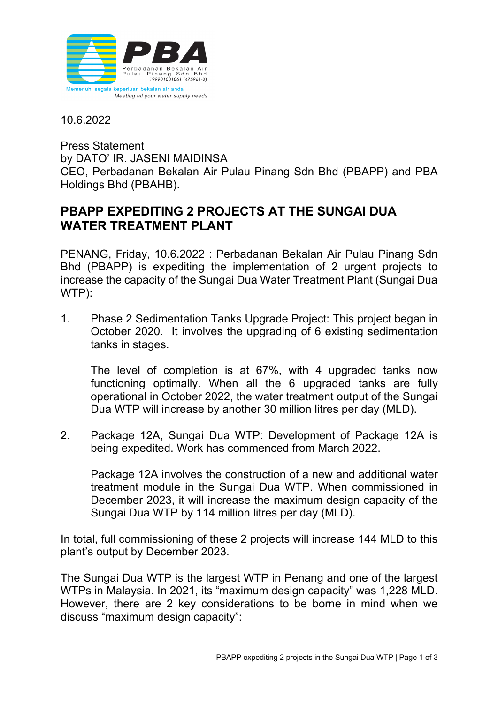

10.6.2022

Press Statement by DATO' IR. JASENI MAIDINSA CEO, Perbadanan Bekalan Air Pulau Pinang Sdn Bhd (PBAPP) and PBA Holdings Bhd (PBAHB).

## **PBAPP EXPEDITING 2 PROJECTS AT THE SUNGAI DUA WATER TREATMENT PLANT**

PENANG, Friday, 10.6.2022 : Perbadanan Bekalan Air Pulau Pinang Sdn Bhd (PBAPP) is expediting the implementation of 2 urgent projects to increase the capacity of the Sungai Dua Water Treatment Plant (Sungai Dua WTP):

1. Phase 2 Sedimentation Tanks Upgrade Project: This project began in October 2020. It involves the upgrading of 6 existing sedimentation tanks in stages.

The level of completion is at 67%, with 4 upgraded tanks now functioning optimally. When all the 6 upgraded tanks are fully operational in October 2022, the water treatment output of the Sungai Dua WTP will increase by another 30 million litres per day (MLD).

2. Package 12A, Sungai Dua WTP: Development of Package 12A is being expedited. Work has commenced from March 2022.

Package 12A involves the construction of a new and additional water treatment module in the Sungai Dua WTP. When commissioned in December 2023, it will increase the maximum design capacity of the Sungai Dua WTP by 114 million litres per day (MLD).

In total, full commissioning of these 2 projects will increase 144 MLD to this plant's output by December 2023.

The Sungai Dua WTP is the largest WTP in Penang and one of the largest WTPs in Malaysia. In 2021, its "maximum design capacity" was 1,228 MLD. However, there are 2 key considerations to be borne in mind when we discuss "maximum design capacity":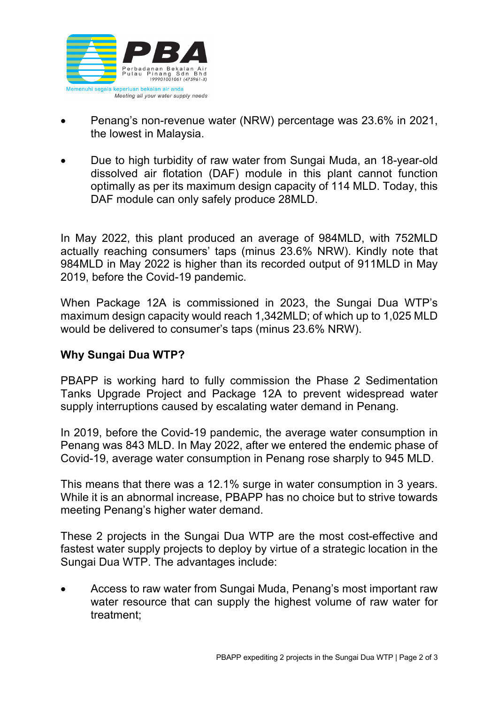

- Penang's non-revenue water (NRW) percentage was 23.6% in 2021, the lowest in Malaysia.
- Due to high turbidity of raw water from Sungai Muda, an 18-year-old dissolved air flotation (DAF) module in this plant cannot function optimally as per its maximum design capacity of 114 MLD. Today, this DAF module can only safely produce 28MLD.

In May 2022, this plant produced an average of 984MLD, with 752MLD actually reaching consumers' taps (minus 23.6% NRW). Kindly note that 984MLD in May 2022 is higher than its recorded output of 911MLD in May 2019, before the Covid-19 pandemic.

When Package 12A is commissioned in 2023, the Sungai Dua WTP's maximum design capacity would reach 1,342MLD; of which up to 1,025 MLD would be delivered to consumer's taps (minus 23.6% NRW).

## **Why Sungai Dua WTP?**

PBAPP is working hard to fully commission the Phase 2 Sedimentation Tanks Upgrade Project and Package 12A to prevent widespread water supply interruptions caused by escalating water demand in Penang.

In 2019, before the Covid-19 pandemic, the average water consumption in Penang was 843 MLD. In May 2022, after we entered the endemic phase of Covid-19, average water consumption in Penang rose sharply to 945 MLD.

This means that there was a 12.1% surge in water consumption in 3 years. While it is an abnormal increase, PBAPP has no choice but to strive towards meeting Penang's higher water demand.

These 2 projects in the Sungai Dua WTP are the most cost-effective and fastest water supply projects to deploy by virtue of a strategic location in the Sungai Dua WTP. The advantages include:

• Access to raw water from Sungai Muda, Penang's most important raw water resource that can supply the highest volume of raw water for treatment;